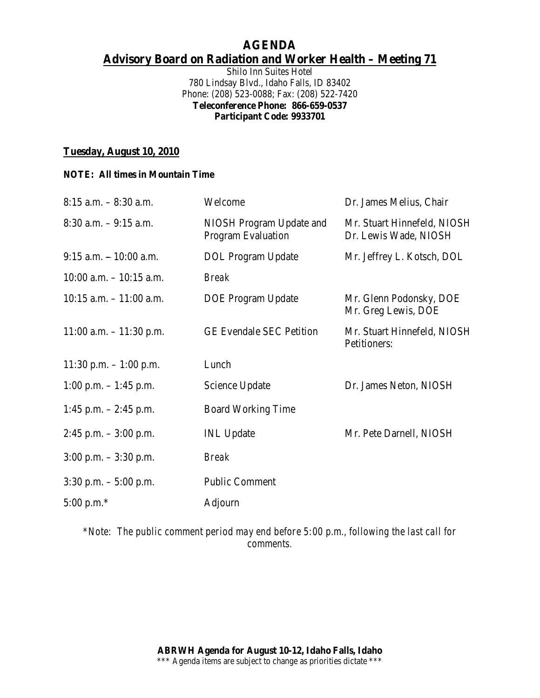## **AGENDA Advisory Board on Radiation and Worker Health – Meeting 71**

Shilo Inn Suites Hotel 780 Lindsay Blvd., Idaho Falls, ID 83402 Phone: (208) 523-0088; Fax: (208) 522-7420 **Teleconference Phone: 866-659-0537 Participant Code: 9933701**

### **Tuesday, August 10, 2010**

#### **NOTE: All times in Mountain Time**

| $8:15$ a.m. $-8:30$ a.m.   | Welcome                                               | Dr. James Melius, Chair                              |
|----------------------------|-------------------------------------------------------|------------------------------------------------------|
| $8:30$ a.m. $-9:15$ a.m.   | NIOSH Program Update and<br><b>Program Evaluation</b> | Mr. Stuart Hinnefeld, NIOSH<br>Dr. Lewis Wade, NIOSH |
| $9:15$ a.m. $-10:00$ a.m.  | <b>DOL</b> Program Update                             | Mr. Jeffrey L. Kotsch, DOL                           |
| $10:00$ a.m. $-10:15$ a.m. | <b>Break</b>                                          |                                                      |
| $10:15$ a.m. $-11:00$ a.m. | <b>DOE</b> Program Update                             | Mr. Glenn Podonsky, DOE<br>Mr. Greg Lewis, DOE       |
| $11:00$ a.m. $-11:30$ p.m. | <b>GE Evendale SEC Petition</b>                       | Mr. Stuart Hinnefeld, NIOSH<br>Petitioners:          |
| 11:30 p.m. $-1:00$ p.m.    | Lunch                                                 |                                                      |
| 1:00 p.m. $-$ 1:45 p.m.    | Science Update                                        | Dr. James Neton, NIOSH                               |
| 1:45 p.m. $-2:45$ p.m.     | <b>Board Working Time</b>                             |                                                      |
| $2:45$ p.m. $-3:00$ p.m.   | <b>INL</b> Update                                     | Mr. Pete Darnell, NIOSH                              |
| $3:00$ p.m. $-3:30$ p.m.   | <b>Break</b>                                          |                                                      |
| $3:30$ p.m. $-5:00$ p.m.   | <b>Public Comment</b>                                 |                                                      |
| 5:00 p.m. $*$              | Adjourn                                               |                                                      |
|                            |                                                       |                                                      |

*\*Note: The public comment period may end before 5:00 p.m., following the last call for comments.*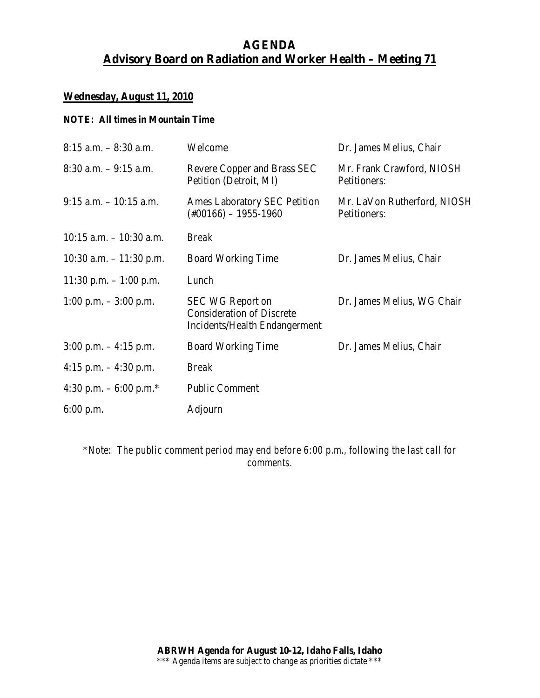# **AGENDA Advisory Board on Radiation and Worker Health – Meeting 71**

### **Wednesday, August 11, 2010**

#### **NOTE: All times in Mountain Time**

| $8:15$ a.m. $-8:30$ a.m.   | Welcome                                                                                      | Dr. James Melius, Chair                     |
|----------------------------|----------------------------------------------------------------------------------------------|---------------------------------------------|
| $8:30$ a.m. $-9:15$ a.m.   | Revere Copper and Brass SEC<br>Petition (Detroit, MI)                                        | Mr. Frank Crawford, NIOSH<br>Petitioners:   |
| $9:15$ a.m. $-10:15$ a.m.  | <b>Ames Laboratory SEC Petition</b><br>$(\text{\#}00166) - 1955 - 1960$                      | Mr. LaVon Rutherford, NIOSH<br>Petitioners: |
| $10:15$ a.m. $-10:30$ a.m. | <b>Break</b>                                                                                 |                                             |
| 10:30 a.m. $-11:30$ p.m.   | <b>Board Working Time</b>                                                                    | Dr. James Melius, Chair                     |
| 11:30 p.m. $-1:00$ p.m.    | Lunch                                                                                        |                                             |
| 1:00 p.m. $-3:00$ p.m.     | <b>SEC WG Report on</b><br><b>Consideration of Discrete</b><br>Incidents/Health Endangerment | Dr. James Melius, WG Chair                  |
| $3:00$ p.m. $-4:15$ p.m.   | <b>Board Working Time</b>                                                                    | Dr. James Melius, Chair                     |
| 4:15 p.m. $-4:30$ p.m.     | <b>Break</b>                                                                                 |                                             |
| 4:30 p.m. $-6:00$ p.m.*    | <b>Public Comment</b>                                                                        |                                             |
| $6:00$ p.m.                | Adjourn                                                                                      |                                             |

*\*Note: The public comment period may end before 6:00 p.m., following the last call for comments.*